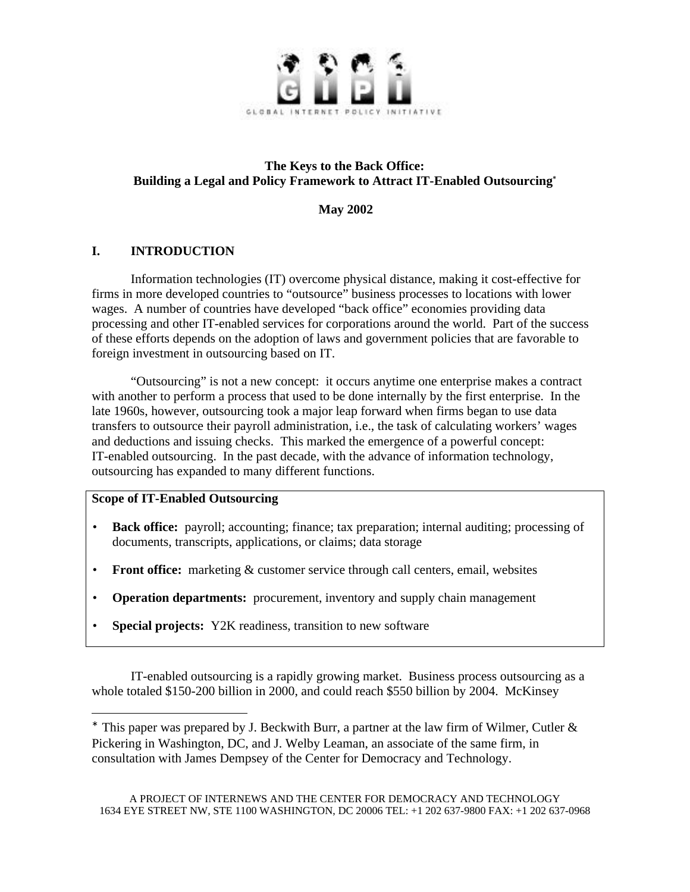

### **The Keys to the Back Office: Building a Legal and Policy Framework to Attract IT-Enabled Outsourcing**

**May 2002**

## **I. INTRODUCTION**

Information technologies (IT) overcome physical distance, making it cost-effective for firms in more developed countries to "outsource" business processes to locations with lower wages. A number of countries have developed "back office" economies providing data processing and other IT-enabled services for corporations around the world. Part of the success of these efforts depends on the adoption of laws and government policies that are favorable to foreign investment in outsourcing based on IT.

"Outsourcing" is not a new concept: it occurs anytime one enterprise makes a contract with another to perform a process that used to be done internally by the first enterprise. In the late 1960s, however, outsourcing took a major leap forward when firms began to use data transfers to outsource their payroll administration, i.e., the task of calculating workers' wages and deductions and issuing checks. This marked the emergence of a powerful concept: IT-enabled outsourcing. In the past decade, with the advance of information technology, outsourcing has expanded to many different functions.

### **Scope of IT-Enabled Outsourcing**

 $\overline{a}$ 

- **Back office:** payroll; accounting; finance; tax preparation; internal auditing; processing of documents, transcripts, applications, or claims; data storage
- **Front office:** marketing & customer service through call centers, email, websites
- **Operation departments:** procurement, inventory and supply chain management
- **Special projects:** Y2K readiness, transition to new software

IT-enabled outsourcing is a rapidly growing market. Business process outsourcing as a whole totaled \$150-200 billion in 2000, and could reach \$550 billion by 2004. McKinsey

This paper was prepared by J. Beckwith Burr, a partner at the law firm of Wilmer, Cutler  $\&$ Pickering in Washington, DC, and J. Welby Leaman, an associate of the same firm, in consultation with James Dempsey of the Center for Democracy and Technology.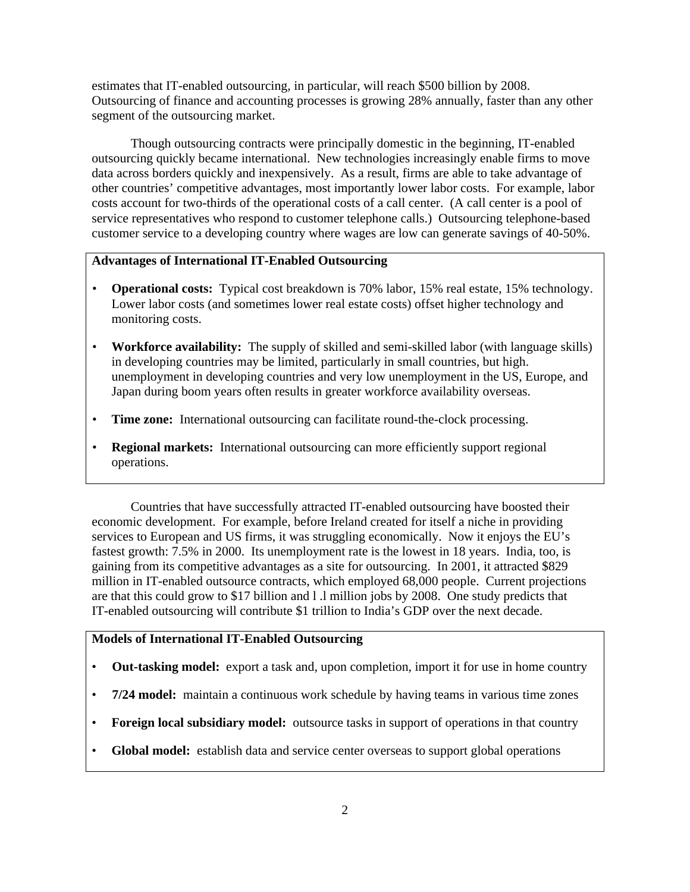estimates that IT-enabled outsourcing, in particular, will reach \$500 billion by 2008. Outsourcing of finance and accounting processes is growing 28% annually, faster than any other segment of the outsourcing market.

Though outsourcing contracts were principally domestic in the beginning, IT-enabled outsourcing quickly became international. New technologies increasingly enable firms to move data across borders quickly and inexpensively. As a result, firms are able to take advantage of other countries' competitive advantages, most importantly lower labor costs. For example, labor costs account for two-thirds of the operational costs of a call center. (A call center is a pool of service representatives who respond to customer telephone calls.) Outsourcing telephone-based customer service to a developing country where wages are low can generate savings of 40-50%.

### **Advantages of International IT-Enabled Outsourcing**

- **Operational costs:** Typical cost breakdown is 70% labor, 15% real estate, 15% technology. Lower labor costs (and sometimes lower real estate costs) offset higher technology and monitoring costs.
- **Workforce availability:** The supply of skilled and semi-skilled labor (with language skills) in developing countries may be limited, particularly in small countries, but high. unemployment in developing countries and very low unemployment in the US, Europe, and Japan during boom years often results in greater workforce availability overseas.
- **Time zone:** International outsourcing can facilitate round-the-clock processing.
- **Regional markets:** International outsourcing can more efficiently support regional operations.

Countries that have successfully attracted IT-enabled outsourcing have boosted their economic development. For example, before Ireland created for itself a niche in providing services to European and US firms, it was struggling economically. Now it enjoys the EU's fastest growth: 7.5% in 2000. Its unemployment rate is the lowest in 18 years. India, too, is gaining from its competitive advantages as a site for outsourcing. In 2001, it attracted \$829 million in IT-enabled outsource contracts, which employed 68,000 people. Current projections are that this could grow to \$17 billion and l .l million jobs by 2008. One study predicts that IT-enabled outsourcing will contribute \$1 trillion to India's GDP over the next decade.

#### **Models of International IT-Enabled Outsourcing**

- **Out-tasking model:** export a task and, upon completion, import it for use in home country
- **7/24 model:** maintain a continuous work schedule by having teams in various time zones
- **Foreign local subsidiary model:** outsource tasks in support of operations in that country
- **Global model:** establish data and service center overseas to support global operations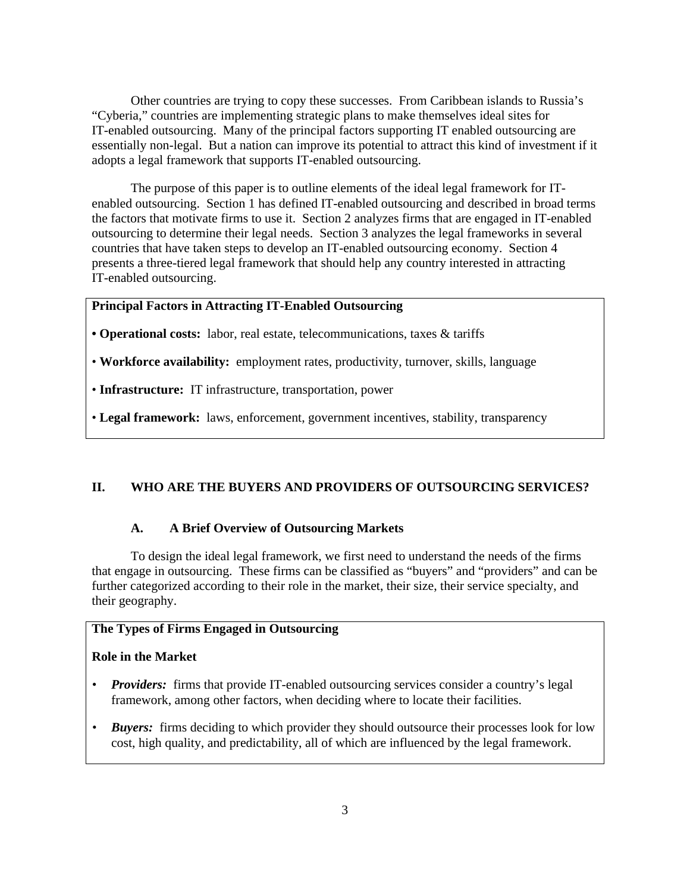Other countries are trying to copy these successes. From Caribbean islands to Russia's "Cyberia," countries are implementing strategic plans to make themselves ideal sites for IT-enabled outsourcing. Many of the principal factors supporting IT enabled outsourcing are essentially non-legal. But a nation can improve its potential to attract this kind of investment if it adopts a legal framework that supports IT-enabled outsourcing.

The purpose of this paper is to outline elements of the ideal legal framework for ITenabled outsourcing. Section 1 has defined IT-enabled outsourcing and described in broad terms the factors that motivate firms to use it. Section 2 analyzes firms that are engaged in IT-enabled outsourcing to determine their legal needs. Section 3 analyzes the legal frameworks in several countries that have taken steps to develop an IT-enabled outsourcing economy. Section 4 presents a three-tiered legal framework that should help any country interested in attracting IT-enabled outsourcing.

#### **Principal Factors in Attracting IT-Enabled Outsourcing**

**• Operational costs:** labor, real estate, telecommunications, taxes & tariffs

• **Workforce availability:** employment rates, productivity, turnover, skills, language

• **Infrastructure:** IT infrastructure, transportation, power

• **Legal framework:** laws, enforcement, government incentives, stability, transparency

#### **II. WHO ARE THE BUYERS AND PROVIDERS OF OUTSOURCING SERVICES?**

### **A. A Brief Overview of Outsourcing Markets**

To design the ideal legal framework, we first need to understand the needs of the firms that engage in outsourcing. These firms can be classified as "buyers" and "providers" and can be further categorized according to their role in the market, their size, their service specialty, and their geography.

#### **The Types of Firms Engaged in Outsourcing**

#### **Role in the Market**

- *Providers:* firms that provide IT-enabled outsourcing services consider a country's legal framework, among other factors, when deciding where to locate their facilities.
- *Buyers:* firms deciding to which provider they should outsource their processes look for low cost, high quality, and predictability, all of which are influenced by the legal framework.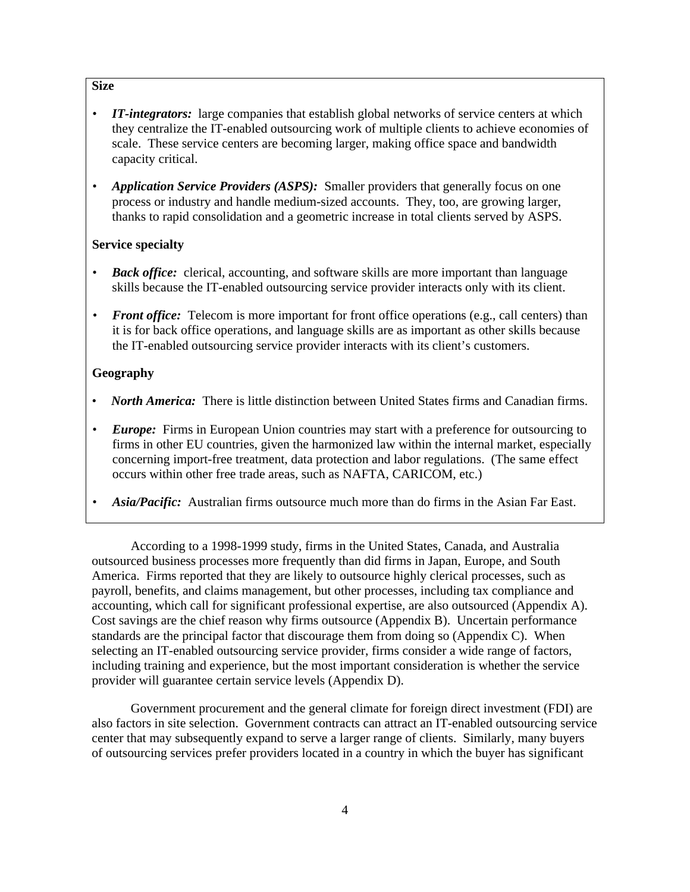#### **Size**

- *IT-integrators:* large companies that establish global networks of service centers at which they centralize the IT-enabled outsourcing work of multiple clients to achieve economies of scale. These service centers are becoming larger, making office space and bandwidth capacity critical.
- *Application Service Providers (ASPS)*: Smaller providers that generally focus on one process or industry and handle medium-sized accounts. They, too, are growing larger, thanks to rapid consolidation and a geometric increase in total clients served by ASPS.

#### **Service specialty**

- *• Back office:* clerical, accounting, and software skills are more important than language skills because the IT-enabled outsourcing service provider interacts only with its client.
- *Front office:* Telecom is more important for front office operations (e.g., call centers) than it is for back office operations, and language skills are as important as other skills because the IT-enabled outsourcing service provider interacts with its client's customers.

#### **Geography**

- *• North America:* There is little distinction between United States firms and Canadian firms.
- *Europe:* Firms in European Union countries may start with a preference for outsourcing to firms in other EU countries, given the harmonized law within the internal market, especially concerning import-free treatment, data protection and labor regulations. (The same effect occurs within other free trade areas, such as NAFTA, CARICOM, etc.)
- *• Asia/Pacific:* Australian firms outsource much more than do firms in the Asian Far East.

According to a 1998-1999 study, firms in the United States, Canada, and Australia outsourced business processes more frequently than did firms in Japan, Europe, and South America. Firms reported that they are likely to outsource highly clerical processes, such as payroll, benefits, and claims management, but other processes, including tax compliance and accounting, which call for significant professional expertise, are also outsourced (Appendix A). Cost savings are the chief reason why firms outsource (Appendix B). Uncertain performance standards are the principal factor that discourage them from doing so (Appendix C). When selecting an IT-enabled outsourcing service provider, firms consider a wide range of factors, including training and experience, but the most important consideration is whether the service provider will guarantee certain service levels (Appendix D).

Government procurement and the general climate for foreign direct investment (FDI) are also factors in site selection. Government contracts can attract an IT-enabled outsourcing service center that may subsequently expand to serve a larger range of clients. Similarly, many buyers of outsourcing services prefer providers located in a country in which the buyer has significant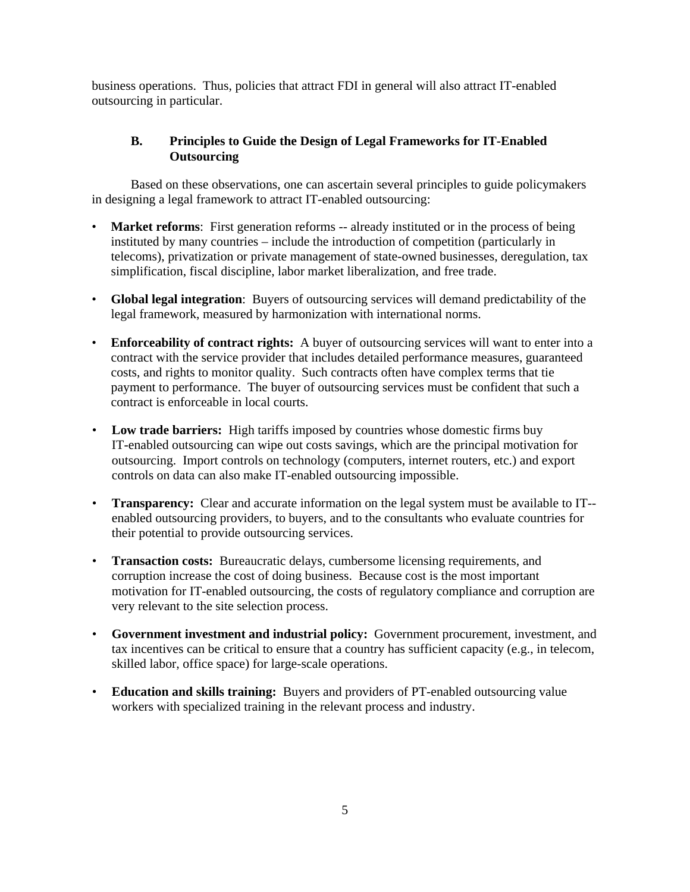business operations. Thus, policies that attract FDI in general will also attract IT-enabled outsourcing in particular.

### **B. Principles to Guide the Design of Legal Frameworks for IT-Enabled Outsourcing**

Based on these observations, one can ascertain several principles to guide policymakers in designing a legal framework to attract IT-enabled outsourcing:

- **Market reforms**: First generation reforms -- already instituted or in the process of being instituted by many countries – include the introduction of competition (particularly in telecoms), privatization or private management of state-owned businesses, deregulation, tax simplification, fiscal discipline, labor market liberalization, and free trade.
- **Global legal integration**: Buyers of outsourcing services will demand predictability of the legal framework, measured by harmonization with international norms.
- **Enforceability of contract rights:** A buyer of outsourcing services will want to enter into a contract with the service provider that includes detailed performance measures, guaranteed costs, and rights to monitor quality. Such contracts often have complex terms that tie payment to performance. The buyer of outsourcing services must be confident that such a contract is enforceable in local courts.
- **Low trade barriers:** High tariffs imposed by countries whose domestic firms buy IT-enabled outsourcing can wipe out costs savings, which are the principal motivation for outsourcing. Import controls on technology (computers, internet routers, etc.) and export controls on data can also make IT-enabled outsourcing impossible.
- **Transparency:** Clear and accurate information on the legal system must be available to IT- enabled outsourcing providers, to buyers, and to the consultants who evaluate countries for their potential to provide outsourcing services.
- **Transaction costs:** Bureaucratic delays, cumbersome licensing requirements, and corruption increase the cost of doing business. Because cost is the most important motivation for IT-enabled outsourcing, the costs of regulatory compliance and corruption are very relevant to the site selection process.
- **Government investment and industrial policy:** Government procurement, investment, and tax incentives can be critical to ensure that a country has sufficient capacity (e.g., in telecom, skilled labor, office space) for large-scale operations.
- **Education and skills training:** Buyers and providers of PT-enabled outsourcing value workers with specialized training in the relevant process and industry.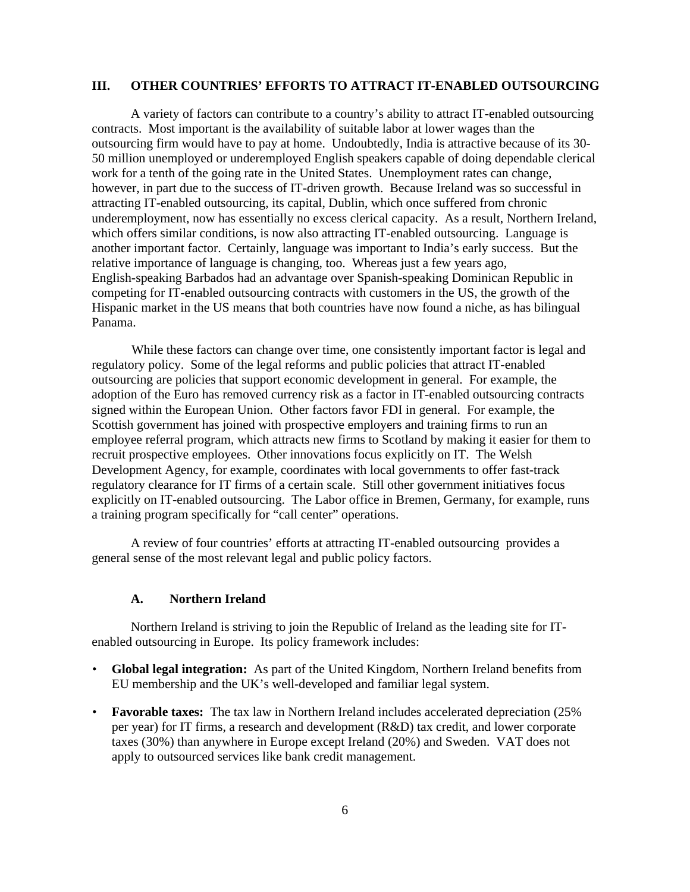#### **III. OTHER COUNTRIES' EFFORTS TO ATTRACT IT-ENABLED OUTSOURCING**

A variety of factors can contribute to a country's ability to attract IT-enabled outsourcing contracts. Most important is the availability of suitable labor at lower wages than the outsourcing firm would have to pay at home. Undoubtedly, India is attractive because of its 30- 50 million unemployed or underemployed English speakers capable of doing dependable clerical work for a tenth of the going rate in the United States. Unemployment rates can change, however, in part due to the success of IT-driven growth. Because Ireland was so successful in attracting IT-enabled outsourcing, its capital, Dublin, which once suffered from chronic underemployment, now has essentially no excess clerical capacity. As a result, Northern Ireland, which offers similar conditions, is now also attracting IT-enabled outsourcing. Language is another important factor. Certainly, language was important to India's early success. But the relative importance of language is changing, too. Whereas just a few years ago, English-speaking Barbados had an advantage over Spanish-speaking Dominican Republic in competing for IT-enabled outsourcing contracts with customers in the US, the growth of the Hispanic market in the US means that both countries have now found a niche, as has bilingual Panama.

While these factors can change over time, one consistently important factor is legal and regulatory policy. Some of the legal reforms and public policies that attract IT-enabled outsourcing are policies that support economic development in general. For example, the adoption of the Euro has removed currency risk as a factor in IT-enabled outsourcing contracts signed within the European Union. Other factors favor FDI in general. For example, the Scottish government has joined with prospective employers and training firms to run an employee referral program, which attracts new firms to Scotland by making it easier for them to recruit prospective employees. Other innovations focus explicitly on IT. The Welsh Development Agency, for example, coordinates with local governments to offer fast-track regulatory clearance for IT firms of a certain scale. Still other government initiatives focus explicitly on IT-enabled outsourcing. The Labor office in Bremen, Germany, for example, runs a training program specifically for "call center" operations.

A review of four countries' efforts at attracting IT-enabled outsourcing provides a general sense of the most relevant legal and public policy factors.

#### **A. Northern Ireland**

Northern Ireland is striving to join the Republic of Ireland as the leading site for ITenabled outsourcing in Europe. Its policy framework includes:

- **Global legal integration:** As part of the United Kingdom, Northern Ireland benefits from EU membership and the UK's well-developed and familiar legal system.
- **Favorable taxes:** The tax law in Northern Ireland includes accelerated depreciation (25% per year) for IT firms, a research and development (R&D) tax credit, and lower corporate taxes (30%) than anywhere in Europe except Ireland (20%) and Sweden. VAT does not apply to outsourced services like bank credit management.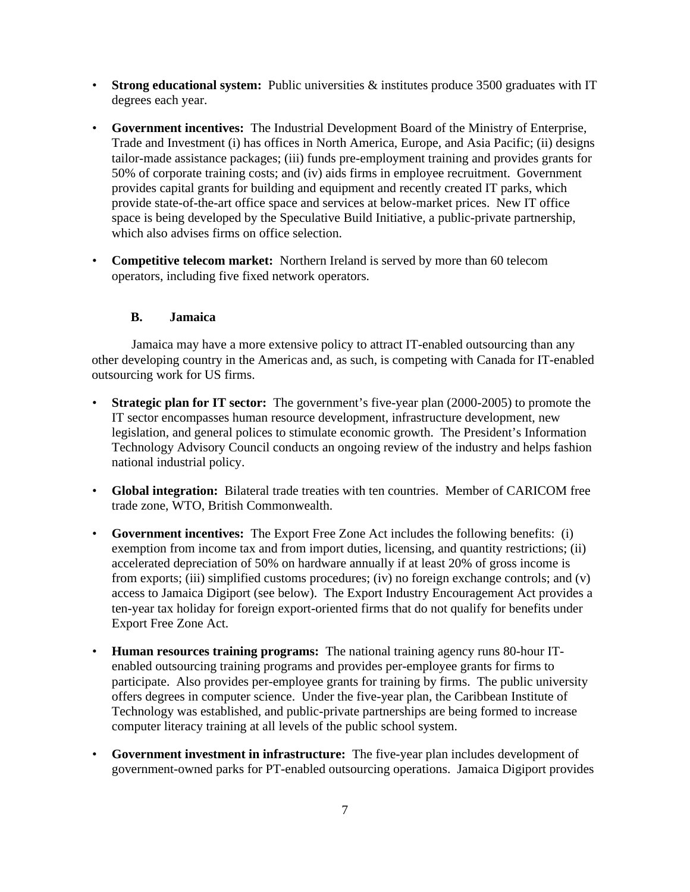- **Strong educational system:** Public universities  $\&$  institutes produce 3500 graduates with IT degrees each year.
- **Government incentives:** The Industrial Development Board of the Ministry of Enterprise, Trade and Investment (i) has offices in North America, Europe, and Asia Pacific; (ii) designs tailor-made assistance packages; (iii) funds pre-employment training and provides grants for 50% of corporate training costs; and (iv) aids firms in employee recruitment. Government provides capital grants for building and equipment and recently created IT parks, which provide state-of-the-art office space and services at below-market prices. New IT office space is being developed by the Speculative Build Initiative, a public-private partnership, which also advises firms on office selection.
- **Competitive telecom market:** Northern Ireland is served by more than 60 telecom operators, including five fixed network operators.

### **B. Jamaica**

Jamaica may have a more extensive policy to attract IT-enabled outsourcing than any other developing country in the Americas and, as such, is competing with Canada for IT-enabled outsourcing work for US firms.

- **Strategic plan for IT sector:** The government's five-year plan (2000-2005) to promote the IT sector encompasses human resource development, infrastructure development, new legislation, and general polices to stimulate economic growth. The President's Information Technology Advisory Council conducts an ongoing review of the industry and helps fashion national industrial policy.
- **Global integration:** Bilateral trade treaties with ten countries. Member of CARICOM free trade zone, WTO, British Commonwealth.
- **Government incentives:** The Export Free Zone Act includes the following benefits: (i) exemption from income tax and from import duties, licensing, and quantity restrictions; (ii) accelerated depreciation of 50% on hardware annually if at least 20% of gross income is from exports; (iii) simplified customs procedures; (iv) no foreign exchange controls; and (v) access to Jamaica Digiport (see below). The Export Industry Encouragement Act provides a ten-year tax holiday for foreign export-oriented firms that do not qualify for benefits under Export Free Zone Act.
- **Human resources training programs:** The national training agency runs 80-hour ITenabled outsourcing training programs and provides per-employee grants for firms to participate. Also provides per-employee grants for training by firms. The public university offers degrees in computer science. Under the five-year plan, the Caribbean Institute of Technology was established, and public-private partnerships are being formed to increase computer literacy training at all levels of the public school system.
- **Government investment in infrastructure:** The five-year plan includes development of government-owned parks for PT-enabled outsourcing operations. Jamaica Digiport provides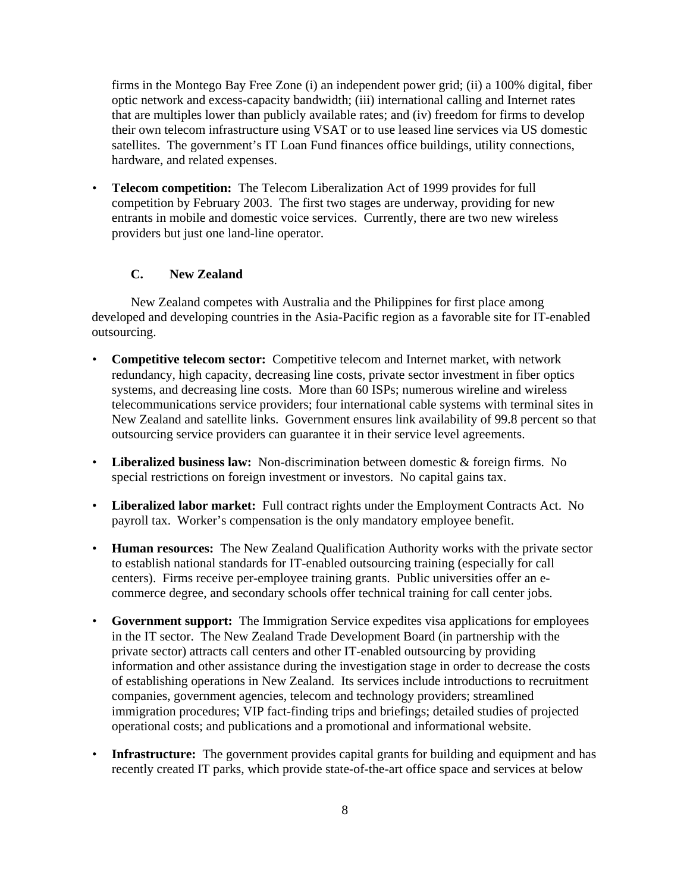firms in the Montego Bay Free Zone (i) an independent power grid; (ii) a 100% digital, fiber optic network and excess-capacity bandwidth; (iii) international calling and Internet rates that are multiples lower than publicly available rates; and (iv) freedom for firms to develop their own telecom infrastructure using VSAT or to use leased line services via US domestic satellites. The government's IT Loan Fund finances office buildings, utility connections, hardware, and related expenses.

• **Telecom competition:** The Telecom Liberalization Act of 1999 provides for full competition by February 2003. The first two stages are underway, providing for new entrants in mobile and domestic voice services. Currently, there are two new wireless providers but just one land-line operator.

## **C. New Zealand**

New Zealand competes with Australia and the Philippines for first place among developed and developing countries in the Asia-Pacific region as a favorable site for IT-enabled outsourcing.

- **Competitive telecom sector:** Competitive telecom and Internet market, with network redundancy, high capacity, decreasing line costs, private sector investment in fiber optics systems, and decreasing line costs. More than 60 ISPs; numerous wireline and wireless telecommunications service providers; four international cable systems with terminal sites in New Zealand and satellite links. Government ensures link availability of 99.8 percent so that outsourcing service providers can guarantee it in their service level agreements.
- **Liberalized business law:** Non-discrimination between domestic & foreign firms. No special restrictions on foreign investment or investors. No capital gains tax.
- **Liberalized labor market:** Full contract rights under the Employment Contracts Act. No payroll tax. Worker's compensation is the only mandatory employee benefit.
- **Human resources:** The New Zealand Qualification Authority works with the private sector to establish national standards for IT-enabled outsourcing training (especially for call centers). Firms receive per-employee training grants. Public universities offer an ecommerce degree, and secondary schools offer technical training for call center jobs.
- **Government support:** The Immigration Service expedites visa applications for employees in the IT sector. The New Zealand Trade Development Board (in partnership with the private sector) attracts call centers and other IT-enabled outsourcing by providing information and other assistance during the investigation stage in order to decrease the costs of establishing operations in New Zealand. Its services include introductions to recruitment companies, government agencies, telecom and technology providers; streamlined immigration procedures; VIP fact-finding trips and briefings; detailed studies of projected operational costs; and publications and a promotional and informational website.
- **Infrastructure:** The government provides capital grants for building and equipment and has recently created IT parks, which provide state-of-the-art office space and services at below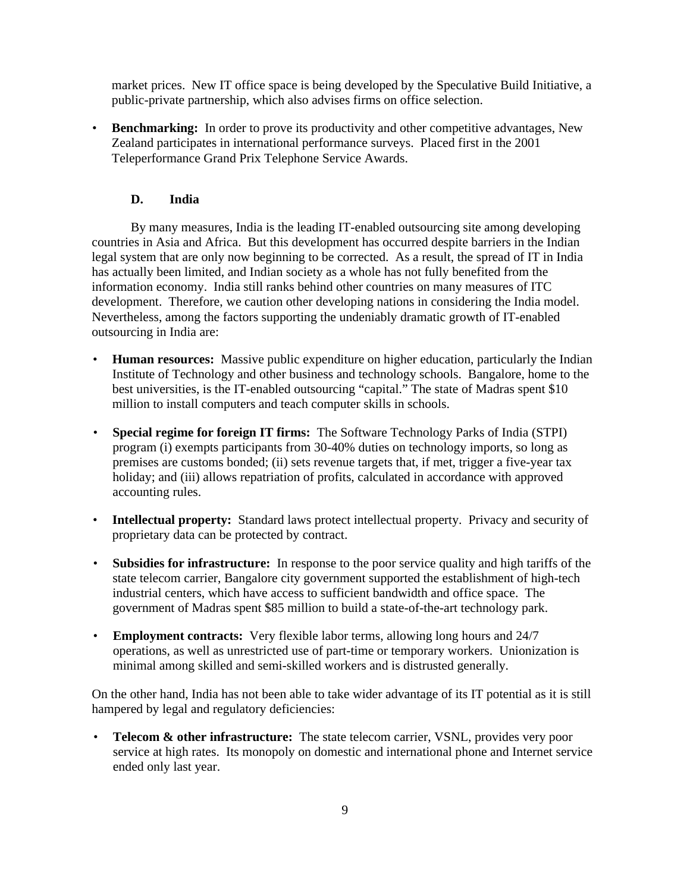market prices. New IT office space is being developed by the Speculative Build Initiative, a public-private partnership, which also advises firms on office selection.

• **Benchmarking:** In order to prove its productivity and other competitive advantages, New Zealand participates in international performance surveys. Placed first in the 2001 Teleperformance Grand Prix Telephone Service Awards.

### **D. India**

By many measures, India is the leading IT-enabled outsourcing site among developing countries in Asia and Africa. But this development has occurred despite barriers in the Indian legal system that are only now beginning to be corrected. As a result, the spread of IT in India has actually been limited, and Indian society as a whole has not fully benefited from the information economy. India still ranks behind other countries on many measures of ITC development. Therefore, we caution other developing nations in considering the India model. Nevertheless, among the factors supporting the undeniably dramatic growth of IT-enabled outsourcing in India are:

- **Human resources:** Massive public expenditure on higher education, particularly the Indian Institute of Technology and other business and technology schools. Bangalore, home to the best universities, is the IT-enabled outsourcing "capital." The state of Madras spent \$10 million to install computers and teach computer skills in schools.
- **Special regime for foreign IT firms:** The Software Technology Parks of India (STPI) program (i) exempts participants from 30-40% duties on technology imports, so long as premises are customs bonded; (ii) sets revenue targets that, if met, trigger a five-year tax holiday; and (iii) allows repatriation of profits, calculated in accordance with approved accounting rules.
- **Intellectual property:** Standard laws protect intellectual property. Privacy and security of proprietary data can be protected by contract.
- **Subsidies for infrastructure:** In response to the poor service quality and high tariffs of the state telecom carrier, Bangalore city government supported the establishment of high-tech industrial centers, which have access to sufficient bandwidth and office space. The government of Madras spent \$85 million to build a state-of-the-art technology park.
- **Employment contracts:** Very flexible labor terms, allowing long hours and 24/7 operations, as well as unrestricted use of part-time or temporary workers. Unionization is minimal among skilled and semi-skilled workers and is distrusted generally.

On the other hand, India has not been able to take wider advantage of its IT potential as it is still hampered by legal and regulatory deficiencies:

• **Telecom & other infrastructure:** The state telecom carrier, VSNL, provides very poor service at high rates. Its monopoly on domestic and international phone and Internet service ended only last year.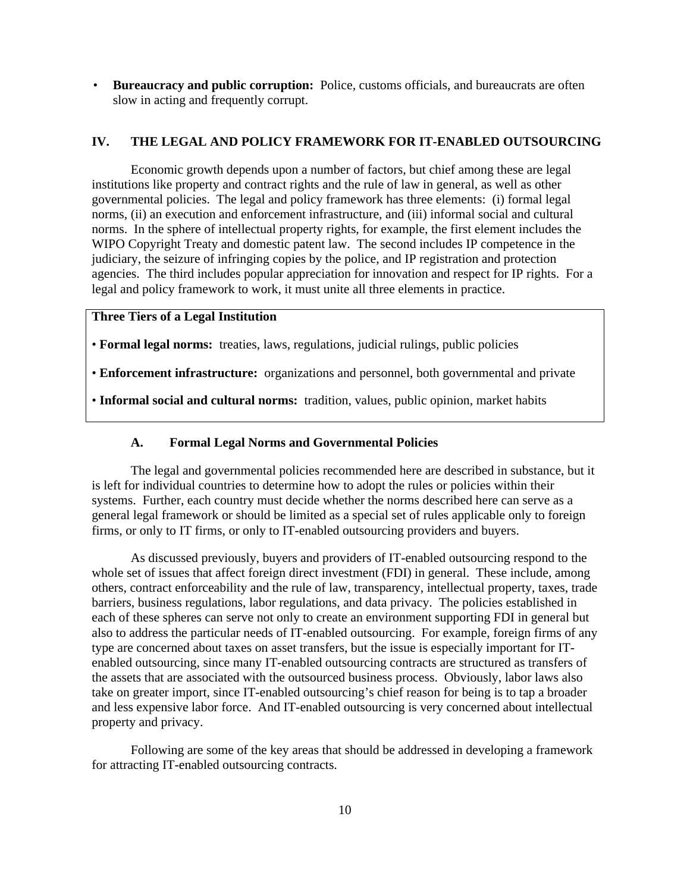• **Bureaucracy and public corruption:** Police, customs officials, and bureaucrats are often slow in acting and frequently corrupt.

#### **IV. THE LEGAL AND POLICY FRAMEWORK FOR IT-ENABLED OUTSOURCING**

Economic growth depends upon a number of factors, but chief among these are legal institutions like property and contract rights and the rule of law in general, as well as other governmental policies. The legal and policy framework has three elements: (i) formal legal norms, (ii) an execution and enforcement infrastructure, and (iii) informal social and cultural norms. In the sphere of intellectual property rights, for example, the first element includes the WIPO Copyright Treaty and domestic patent law. The second includes IP competence in the judiciary, the seizure of infringing copies by the police, and IP registration and protection agencies. The third includes popular appreciation for innovation and respect for IP rights. For a legal and policy framework to work, it must unite all three elements in practice.

### **Three Tiers of a Legal Institution**

• **Formal legal norms:** treaties, laws, regulations, judicial rulings, public policies

• **Enforcement infrastructure:** organizations and personnel, both governmental and private

• **Informal social and cultural norms:** tradition, values, public opinion, market habits

#### **A. Formal Legal Norms and Governmental Policies**

The legal and governmental policies recommended here are described in substance, but it is left for individual countries to determine how to adopt the rules or policies within their systems. Further, each country must decide whether the norms described here can serve as a general legal framework or should be limited as a special set of rules applicable only to foreign firms, or only to IT firms, or only to IT-enabled outsourcing providers and buyers.

As discussed previously, buyers and providers of IT-enabled outsourcing respond to the whole set of issues that affect foreign direct investment (FDI) in general. These include, among others, contract enforceability and the rule of law, transparency, intellectual property, taxes, trade barriers, business regulations, labor regulations, and data privacy. The policies established in each of these spheres can serve not only to create an environment supporting FDI in general but also to address the particular needs of IT-enabled outsourcing. For example, foreign firms of any type are concerned about taxes on asset transfers, but the issue is especially important for ITenabled outsourcing, since many IT-enabled outsourcing contracts are structured as transfers of the assets that are associated with the outsourced business process. Obviously, labor laws also take on greater import, since IT-enabled outsourcing's chief reason for being is to tap a broader and less expensive labor force. And IT-enabled outsourcing is very concerned about intellectual property and privacy.

Following are some of the key areas that should be addressed in developing a framework for attracting IT-enabled outsourcing contracts.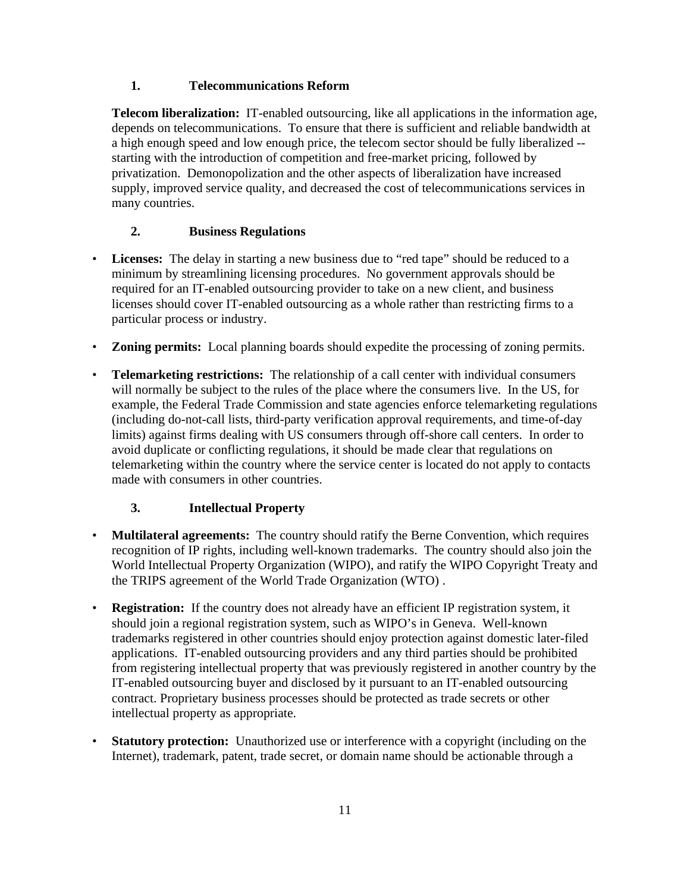### **1. Telecommunications Reform**

**Telecom liberalization:** IT-enabled outsourcing, like all applications in the information age, depends on telecommunications. To ensure that there is sufficient and reliable bandwidth at a high enough speed and low enough price, the telecom sector should be fully liberalized - starting with the introduction of competition and free-market pricing, followed by privatization. Demonopolization and the other aspects of liberalization have increased supply, improved service quality, and decreased the cost of telecommunications services in many countries.

## **2. Business Regulations**

- **Licenses:** The delay in starting a new business due to "red tape" should be reduced to a minimum by streamlining licensing procedures. No government approvals should be required for an IT-enabled outsourcing provider to take on a new client, and business licenses should cover IT-enabled outsourcing as a whole rather than restricting firms to a particular process or industry.
- **Zoning permits:** Local planning boards should expedite the processing of zoning permits.
- **Telemarketing restrictions:** The relationship of a call center with individual consumers will normally be subject to the rules of the place where the consumers live. In the US, for example, the Federal Trade Commission and state agencies enforce telemarketing regulations (including do-not-call lists, third-party verification approval requirements, and time-of-day limits) against firms dealing with US consumers through off-shore call centers. In order to avoid duplicate or conflicting regulations, it should be made clear that regulations on telemarketing within the country where the service center is located do not apply to contacts made with consumers in other countries.

## **3. Intellectual Property**

- **Multilateral agreements:** The country should ratify the Berne Convention, which requires recognition of IP rights, including well-known trademarks. The country should also join the World Intellectual Property Organization (WIPO), and ratify the WIPO Copyright Treaty and the TRIPS agreement of the World Trade Organization (WTO) .
- **Registration:** If the country does not already have an efficient IP registration system, it should join a regional registration system, such as WIPO's in Geneva. Well-known trademarks registered in other countries should enjoy protection against domestic later-filed applications. IT-enabled outsourcing providers and any third parties should be prohibited from registering intellectual property that was previously registered in another country by the IT-enabled outsourcing buyer and disclosed by it pursuant to an IT-enabled outsourcing contract. Proprietary business processes should be protected as trade secrets or other intellectual property as appropriate.
- **Statutory protection:** Unauthorized use or interference with a copyright (including on the Internet), trademark, patent, trade secret, or domain name should be actionable through a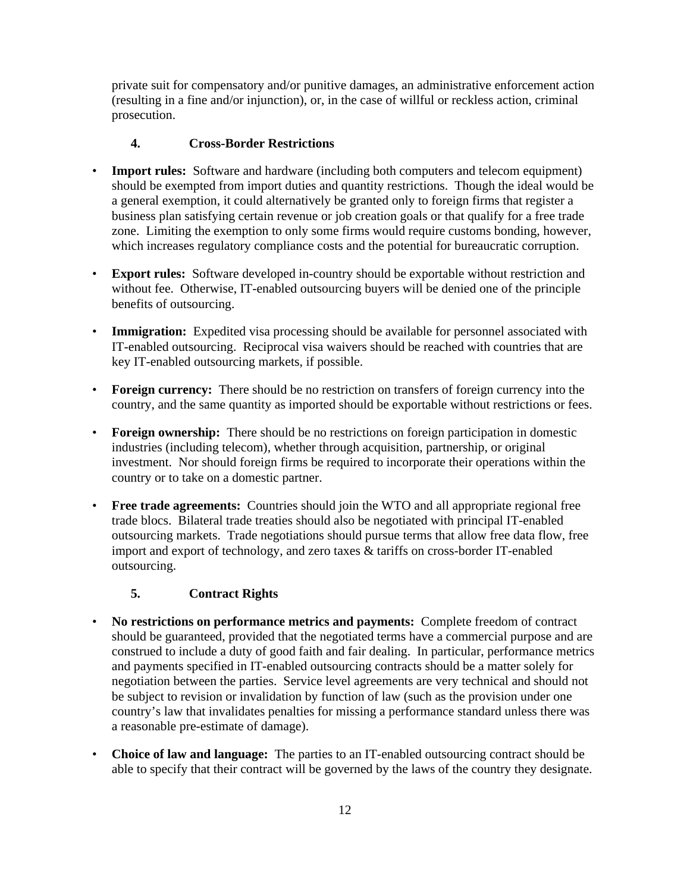private suit for compensatory and/or punitive damages, an administrative enforcement action (resulting in a fine and/or injunction), or, in the case of willful or reckless action, criminal prosecution.

### **4. Cross-Border Restrictions**

- **Import rules:** Software and hardware (including both computers and telecom equipment) should be exempted from import duties and quantity restrictions. Though the ideal would be a general exemption, it could alternatively be granted only to foreign firms that register a business plan satisfying certain revenue or job creation goals or that qualify for a free trade zone. Limiting the exemption to only some firms would require customs bonding, however, which increases regulatory compliance costs and the potential for bureaucratic corruption.
- **Export rules:** Software developed in-country should be exportable without restriction and without fee. Otherwise, IT-enabled outsourcing buyers will be denied one of the principle benefits of outsourcing.
- **Immigration:** Expedited visa processing should be available for personnel associated with IT-enabled outsourcing. Reciprocal visa waivers should be reached with countries that are key IT-enabled outsourcing markets, if possible.
- **Foreign currency:** There should be no restriction on transfers of foreign currency into the country, and the same quantity as imported should be exportable without restrictions or fees.
- **Foreign ownership:** There should be no restrictions on foreign participation in domestic industries (including telecom), whether through acquisition, partnership, or original investment. Nor should foreign firms be required to incorporate their operations within the country or to take on a domestic partner.
- **Free trade agreements:** Countries should join the WTO and all appropriate regional free trade blocs. Bilateral trade treaties should also be negotiated with principal IT-enabled outsourcing markets. Trade negotiations should pursue terms that allow free data flow, free import and export of technology, and zero taxes & tariffs on cross-border IT-enabled outsourcing.

### **5. Contract Rights**

- **No restrictions on performance metrics and payments:** Complete freedom of contract should be guaranteed, provided that the negotiated terms have a commercial purpose and are construed to include a duty of good faith and fair dealing. In particular, performance metrics and payments specified in IT-enabled outsourcing contracts should be a matter solely for negotiation between the parties. Service level agreements are very technical and should not be subject to revision or invalidation by function of law (such as the provision under one country's law that invalidates penalties for missing a performance standard unless there was a reasonable pre-estimate of damage).
- **Choice of law and language:** The parties to an IT-enabled outsourcing contract should be able to specify that their contract will be governed by the laws of the country they designate.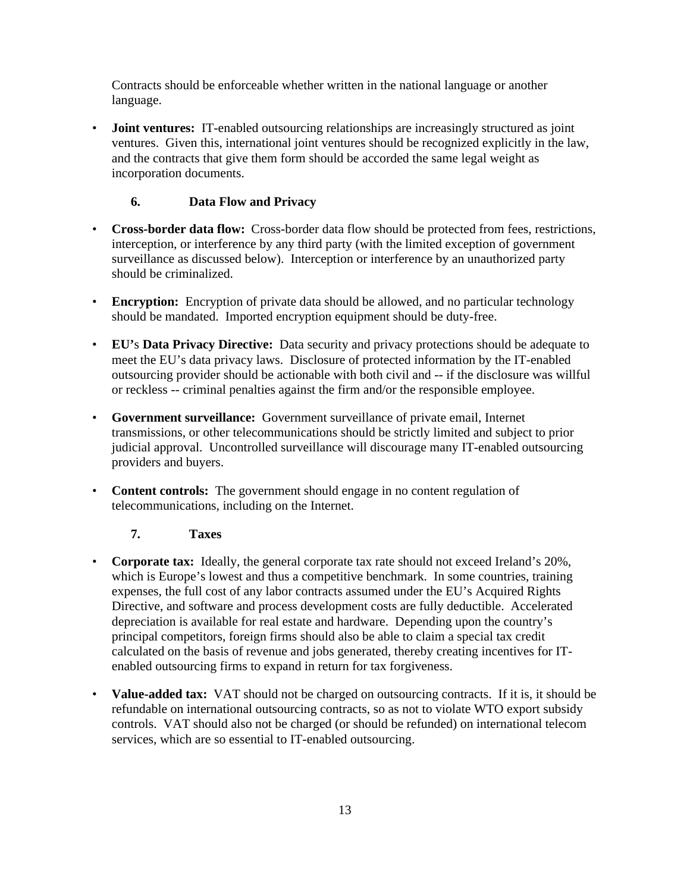Contracts should be enforceable whether written in the national language or another language.

**Joint ventures:** IT-enabled outsourcing relationships are increasingly structured as joint ventures. Given this, international joint ventures should be recognized explicitly in the law, and the contracts that give them form should be accorded the same legal weight as incorporation documents.

### **6. Data Flow and Privacy**

- **Cross-border data flow:** Cross-border data flow should be protected from fees, restrictions, interception, or interference by any third party (with the limited exception of government surveillance as discussed below). Interception or interference by an unauthorized party should be criminalized.
- **Encryption:** Encryption of private data should be allowed, and no particular technology should be mandated. Imported encryption equipment should be duty-free.
- **EU'**s **Data Privacy Directive:** Data security and privacy protections should be adequate to meet the EU's data privacy laws. Disclosure of protected information by the IT-enabled outsourcing provider should be actionable with both civil and -- if the disclosure was willful or reckless -- criminal penalties against the firm and/or the responsible employee.
- **Government surveillance:** Government surveillance of private email, Internet transmissions, or other telecommunications should be strictly limited and subject to prior judicial approval. Uncontrolled surveillance will discourage many IT-enabled outsourcing providers and buyers.
- **Content controls:** The government should engage in no content regulation of telecommunications, including on the Internet.

### **7. Taxes**

- **Corporate tax:** Ideally, the general corporate tax rate should not exceed Ireland's 20%, which is Europe's lowest and thus a competitive benchmark. In some countries, training expenses, the full cost of any labor contracts assumed under the EU's Acquired Rights Directive, and software and process development costs are fully deductible. Accelerated depreciation is available for real estate and hardware. Depending upon the country's principal competitors, foreign firms should also be able to claim a special tax credit calculated on the basis of revenue and jobs generated, thereby creating incentives for ITenabled outsourcing firms to expand in return for tax forgiveness.
- **Value-added tax:** VAT should not be charged on outsourcing contracts. If it is, it should be refundable on international outsourcing contracts, so as not to violate WTO export subsidy controls. VAT should also not be charged (or should be refunded) on international telecom services, which are so essential to IT-enabled outsourcing.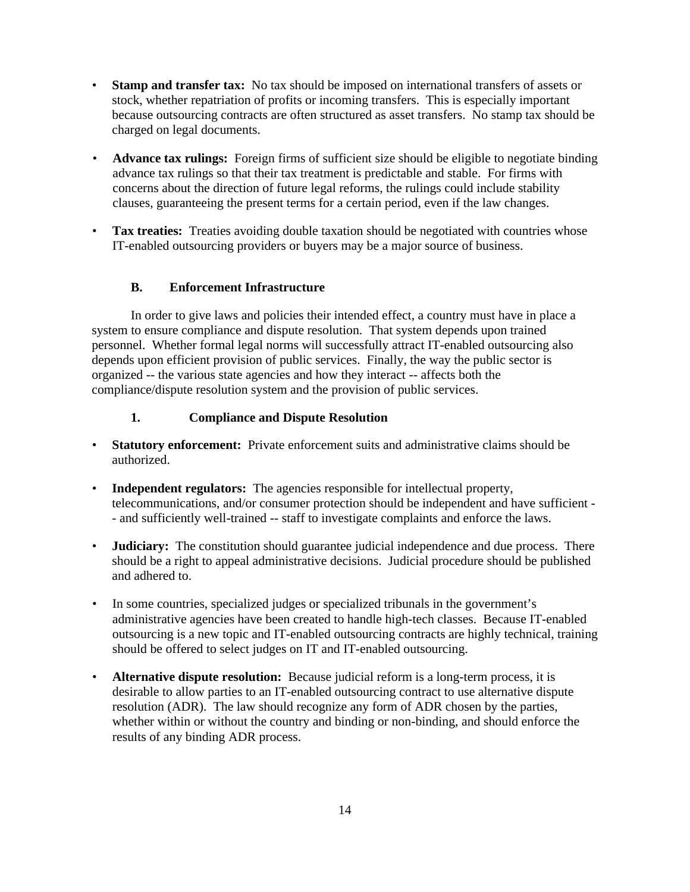- **Stamp and transfer tax:** No tax should be imposed on international transfers of assets or stock, whether repatriation of profits or incoming transfers. This is especially important because outsourcing contracts are often structured as asset transfers. No stamp tax should be charged on legal documents.
- **Advance tax rulings:** Foreign firms of sufficient size should be eligible to negotiate binding advance tax rulings so that their tax treatment is predictable and stable. For firms with concerns about the direction of future legal reforms, the rulings could include stability clauses, guaranteeing the present terms for a certain period, even if the law changes.
- **Tax treaties:** Treaties avoiding double taxation should be negotiated with countries whose IT-enabled outsourcing providers or buyers may be a major source of business.

### **B. Enforcement Infrastructure**

In order to give laws and policies their intended effect, a country must have in place a system to ensure compliance and dispute resolution. That system depends upon trained personnel. Whether formal legal norms will successfully attract IT-enabled outsourcing also depends upon efficient provision of public services. Finally, the way the public sector is organized -- the various state agencies and how they interact -- affects both the compliance/dispute resolution system and the provision of public services.

### **1. Compliance and Dispute Resolution**

- **Statutory enforcement:** Private enforcement suits and administrative claims should be authorized.
- **Independent regulators:** The agencies responsible for intellectual property, telecommunications, and/or consumer protection should be independent and have sufficient - - and sufficiently well-trained -- staff to investigate complaints and enforce the laws.
- **Judiciary:** The constitution should guarantee judicial independence and due process. There should be a right to appeal administrative decisions. Judicial procedure should be published and adhered to.
- In some countries, specialized judges or specialized tribunals in the government's administrative agencies have been created to handle high-tech classes. Because IT-enabled outsourcing is a new topic and IT-enabled outsourcing contracts are highly technical, training should be offered to select judges on IT and IT-enabled outsourcing.
- **Alternative dispute resolution:** Because judicial reform is a long-term process, it is desirable to allow parties to an IT-enabled outsourcing contract to use alternative dispute resolution (ADR). The law should recognize any form of ADR chosen by the parties, whether within or without the country and binding or non-binding, and should enforce the results of any binding ADR process.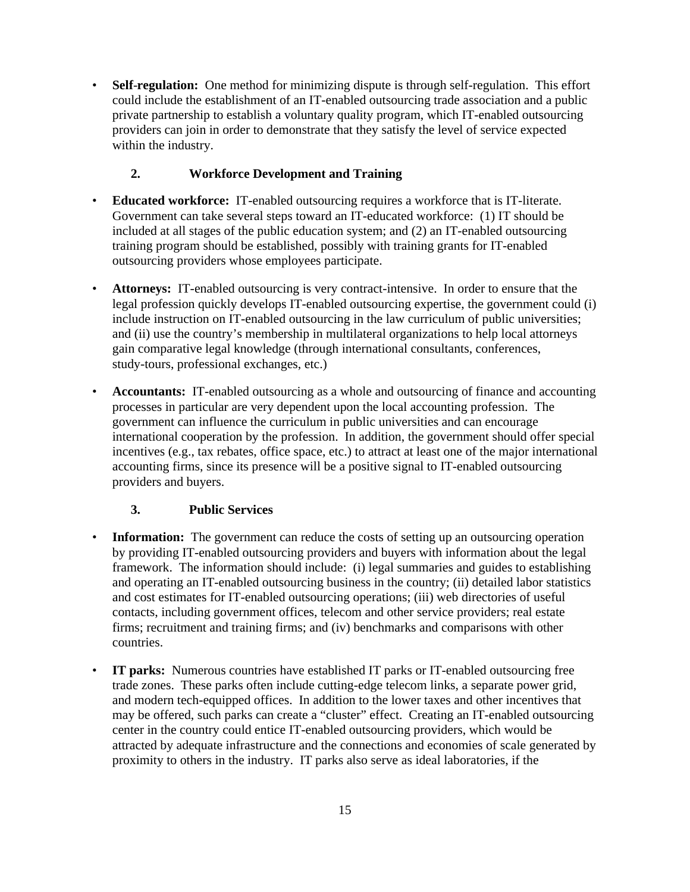• **Self**-**regulation:** One method for minimizing dispute is through self-regulation. This effort could include the establishment of an IT-enabled outsourcing trade association and a public private partnership to establish a voluntary quality program, which IT-enabled outsourcing providers can join in order to demonstrate that they satisfy the level of service expected within the industry.

## **2. Workforce Development and Training**

- **Educated workforce:** IT-enabled outsourcing requires a workforce that is IT-literate. Government can take several steps toward an IT-educated workforce: (1) IT should be included at all stages of the public education system; and (2) an IT-enabled outsourcing training program should be established, possibly with training grants for IT-enabled outsourcing providers whose employees participate.
- **Attorneys:** IT-enabled outsourcing is very contract-intensive. In order to ensure that the legal profession quickly develops IT-enabled outsourcing expertise, the government could (i) include instruction on IT-enabled outsourcing in the law curriculum of public universities; and (ii) use the country's membership in multilateral organizations to help local attorneys gain comparative legal knowledge (through international consultants, conferences, study-tours, professional exchanges, etc.)
- **Accountants:** IT-enabled outsourcing as a whole and outsourcing of finance and accounting processes in particular are very dependent upon the local accounting profession. The government can influence the curriculum in public universities and can encourage international cooperation by the profession. In addition, the government should offer special incentives (e.g., tax rebates, office space, etc.) to attract at least one of the major international accounting firms, since its presence will be a positive signal to IT-enabled outsourcing providers and buyers.

## **3. Public Services**

- **Information:** The government can reduce the costs of setting up an outsourcing operation by providing IT-enabled outsourcing providers and buyers with information about the legal framework. The information should include: (i) legal summaries and guides to establishing and operating an IT-enabled outsourcing business in the country; (ii) detailed labor statistics and cost estimates for IT-enabled outsourcing operations; (iii) web directories of useful contacts, including government offices, telecom and other service providers; real estate firms; recruitment and training firms; and (iv) benchmarks and comparisons with other countries.
- **IT parks:** Numerous countries have established IT parks or IT-enabled outsourcing free trade zones. These parks often include cutting-edge telecom links, a separate power grid, and modern tech-equipped offices. In addition to the lower taxes and other incentives that may be offered, such parks can create a "cluster" effect. Creating an IT-enabled outsourcing center in the country could entice IT-enabled outsourcing providers, which would be attracted by adequate infrastructure and the connections and economies of scale generated by proximity to others in the industry. IT parks also serve as ideal laboratories, if the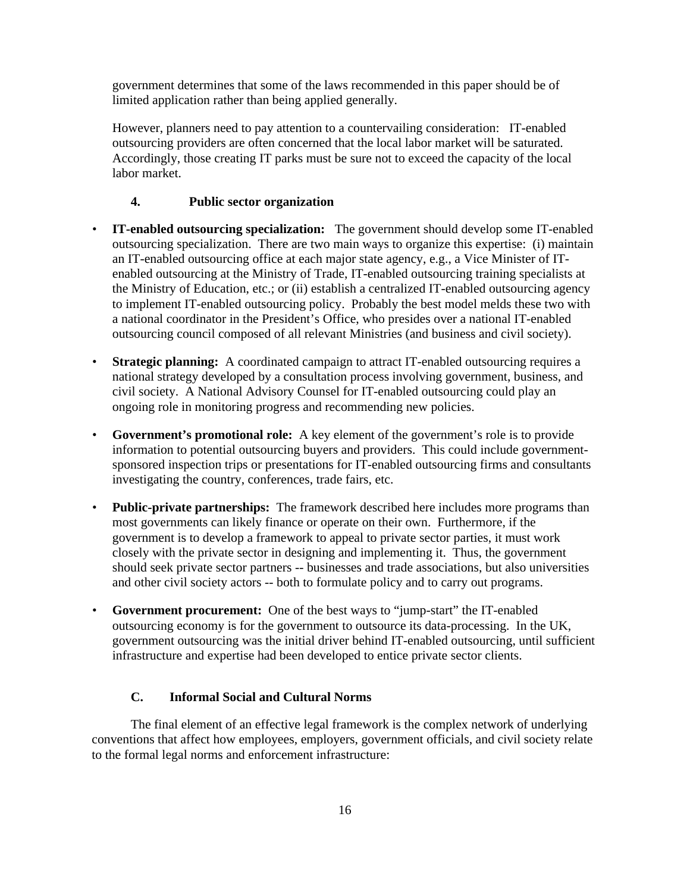government determines that some of the laws recommended in this paper should be of limited application rather than being applied generally.

However, planners need to pay attention to a countervailing consideration: IT-enabled outsourcing providers are often concerned that the local labor market will be saturated. Accordingly, those creating IT parks must be sure not to exceed the capacity of the local labor market.

#### **4. Public sector organization**

- **IT-enabled outsourcing specialization:** The government should develop some IT-enabled outsourcing specialization. There are two main ways to organize this expertise: (i) maintain an IT-enabled outsourcing office at each major state agency, e.g., a Vice Minister of ITenabled outsourcing at the Ministry of Trade, IT-enabled outsourcing training specialists at the Ministry of Education, etc.; or (ii) establish a centralized IT-enabled outsourcing agency to implement IT-enabled outsourcing policy. Probably the best model melds these two with a national coordinator in the President's Office, who presides over a national IT-enabled outsourcing council composed of all relevant Ministries (and business and civil society).
- **Strategic planning:** A coordinated campaign to attract IT-enabled outsourcing requires a national strategy developed by a consultation process involving government, business, and civil society. A National Advisory Counsel for IT-enabled outsourcing could play an ongoing role in monitoring progress and recommending new policies.
- **Government's promotional role:** A key element of the government's role is to provide information to potential outsourcing buyers and providers. This could include governmentsponsored inspection trips or presentations for IT-enabled outsourcing firms and consultants investigating the country, conferences, trade fairs, etc.
- **Public-private partnerships:** The framework described here includes more programs than most governments can likely finance or operate on their own. Furthermore, if the government is to develop a framework to appeal to private sector parties, it must work closely with the private sector in designing and implementing it. Thus, the government should seek private sector partners -- businesses and trade associations, but also universities and other civil society actors -- both to formulate policy and to carry out programs.
- **Government procurement:** One of the best ways to "jump-start" the IT-enabled outsourcing economy is for the government to outsource its data-processing. In the UK, government outsourcing was the initial driver behind IT-enabled outsourcing, until sufficient infrastructure and expertise had been developed to entice private sector clients.

## **C. Informal Social and Cultural Norms**

The final element of an effective legal framework is the complex network of underlying conventions that affect how employees, employers, government officials, and civil society relate to the formal legal norms and enforcement infrastructure: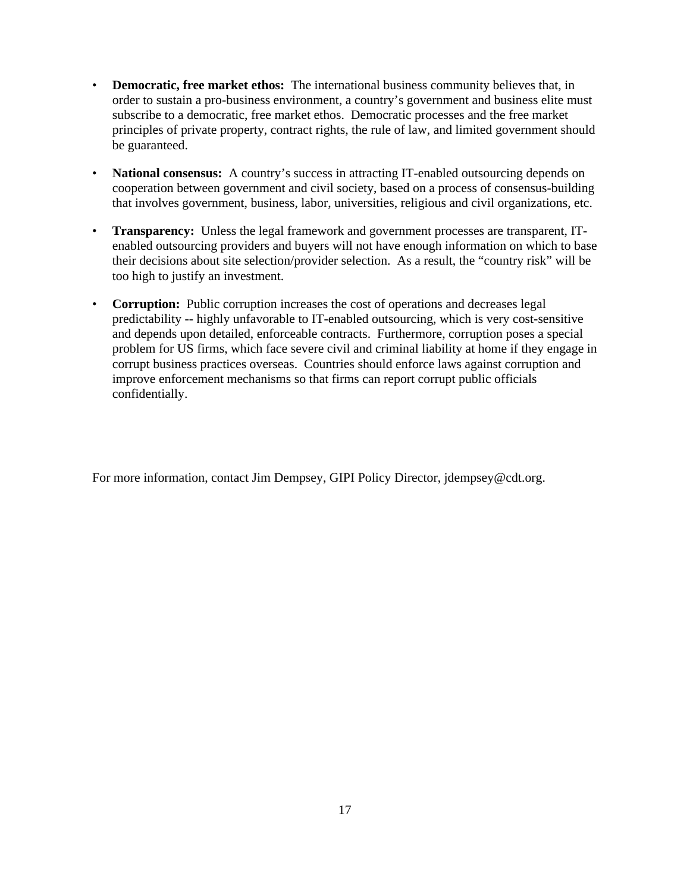- **Democratic, free market ethos:** The international business community believes that, in order to sustain a pro-business environment, a country's government and business elite must subscribe to a democratic, free market ethos. Democratic processes and the free market principles of private property, contract rights, the rule of law, and limited government should be guaranteed.
- **National consensus:** A country's success in attracting IT-enabled outsourcing depends on cooperation between government and civil society, based on a process of consensus-building that involves government, business, labor, universities, religious and civil organizations, etc.
- **Transparency:** Unless the legal framework and government processes are transparent, ITenabled outsourcing providers and buyers will not have enough information on which to base their decisions about site selection/provider selection. As a result, the "country risk" will be too high to justify an investment.
- **Corruption:** Public corruption increases the cost of operations and decreases legal predictability -- highly unfavorable to IT-enabled outsourcing, which is very cost-sensitive and depends upon detailed, enforceable contracts. Furthermore, corruption poses a special problem for US firms, which face severe civil and criminal liability at home if they engage in corrupt business practices overseas. Countries should enforce laws against corruption and improve enforcement mechanisms so that firms can report corrupt public officials confidentially.

For more information, contact Jim Dempsey, GIPI Policy Director, jdempsey@cdt.org.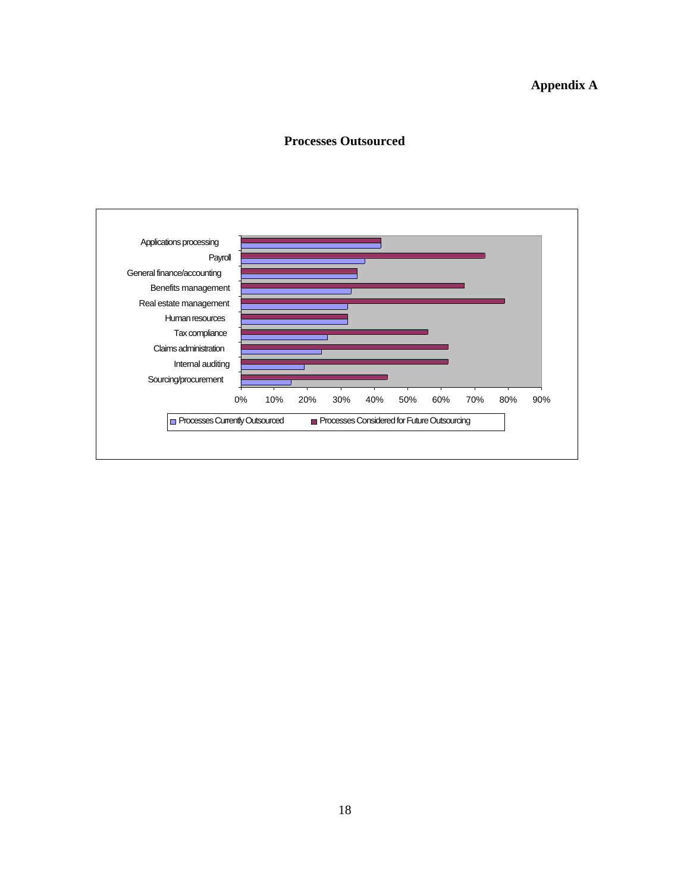## **Appendix A**

#### **Processes Outsourced**

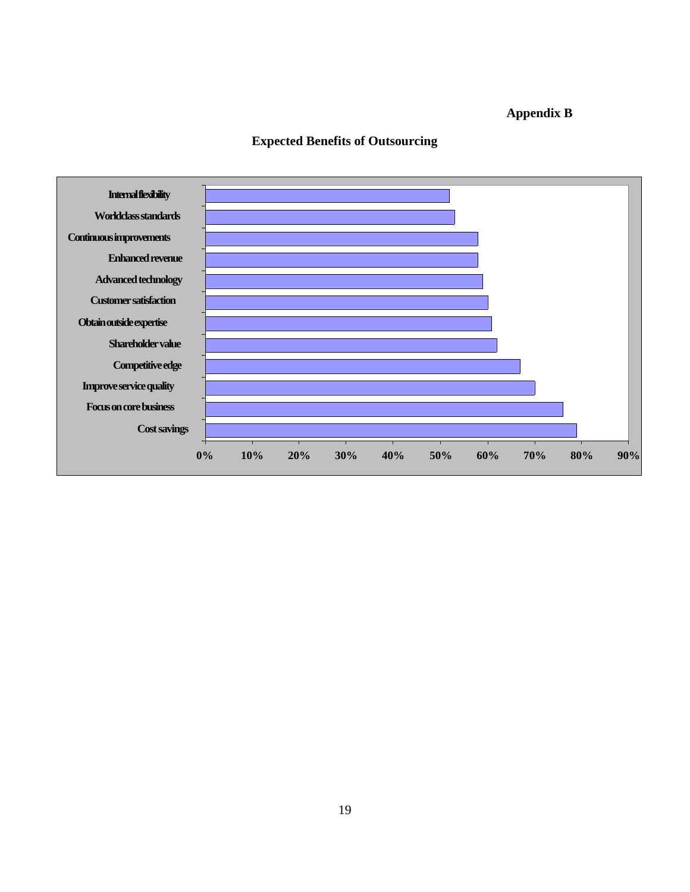## **Appendix B**



## **Expected Benefits of Outsourcing**